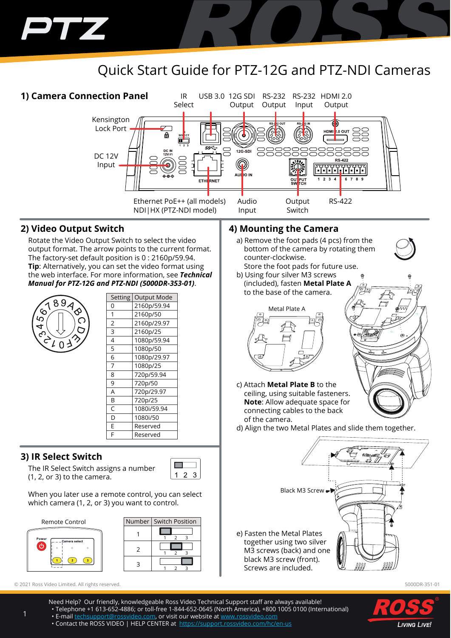# Quick Start Guide for PTZ-12G and PTZ-NDI Cameras



#### **2) Video Output Switch**

T

Rotate the Video Output Switch to select the video output format. The arrow points to the current format. The factory-set default position is 0 : 2160p/59.94. **Tip**: Alternatively, you can set the video format using the web interface. For more information, see *Technical Manual for PTZ-12G and PTZ-NDI (5000DR-353-01)*.



| אי ייטי        | acpacini    |
|----------------|-------------|
| 0              | 2160p/59.94 |
| 1              | 2160p/50    |
| $\overline{2}$ | 2160p/29.97 |
| 3              | 2160p/25    |
| 4              | 1080p/59.94 |
| 5              | 1080p/50    |
| 6              | 1080p/29.97 |
| $\overline{7}$ | 1080p/25    |
| 8              | 720p/59.94  |
| 9              | 720p/50     |
| A              | 720p/29.97  |
| B              | 720p/25     |
| C              | 1080i/59.94 |
| D              | 1080i/50    |
| F              | Reserved    |
| F              | Reserved    |
|                |             |

Setting Qutput Mode

### **3) IR Select Switch**

The IR Select Switch assigns a number (1, 2, or 3) to the camera.



When you later use a remote control, you can select which camera (1, 2, or 3) you want to control.



|   | Number   Switch Position |
|---|--------------------------|
|   |                          |
| っ |                          |
|   |                          |
|   |                          |

© 2021 Ross Video Limited. All rights reserved. 5000DR-351-01

### **4) Mounting the Camera**

- a) Remove the foot pads (4 pcs) from the bottom of the camera by rotating them counter-clockwise.
- Store the foot pads for future use. b) Using four silver M3 screws (included), fasten **Metal Plate A** to the base of the camera.



- c) Attach **Metal Plate B** to the ceiling, using suitable fasteners. **Note**: Allow adequate space for connecting cables to the back of the camera.
- d) Align the two Metal Plates and slide them together.





Need Help? Our friendly, knowledgeable Ross Video Technical Support staff are always available! • Telephone +1 613-652-4886; or toll-free 1-844-652-0645 (North America), +800 1005 0100 (International) • E-mail techsupport@rossvideo.com, or visit our website at www.rossvideo.com

• Contact the ROSS VIDEO | HELP CENTER at https://support.rossvideo.com/hc/en-us